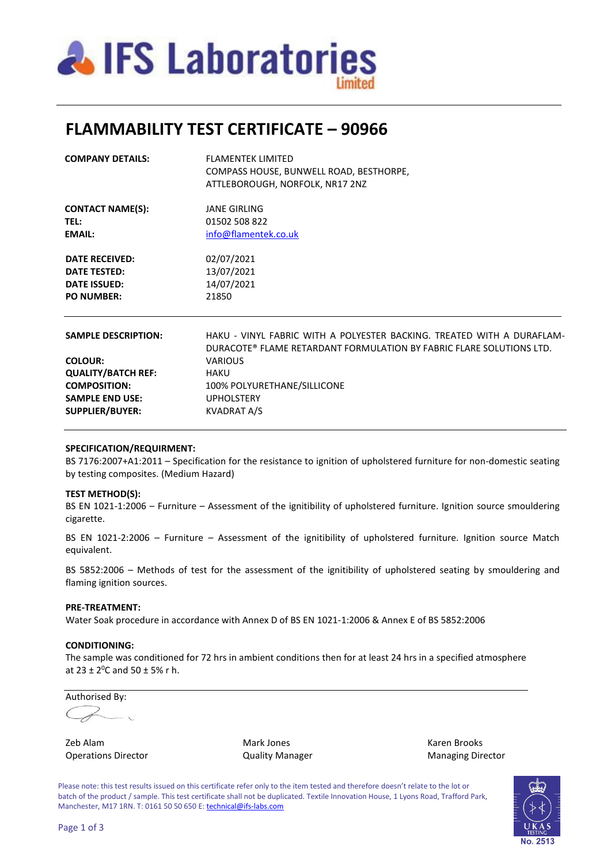

# **FLAMMABILITY TEST CERTIFICATE – 90966**

| <b>COMPANY DETAILS:</b>                | FLAMENTEK LIMITED<br>COMPASS HOUSE, BUNWELL ROAD, BESTHORPE,<br>ATTLEBOROUGH, NORFOLK, NR17 2NZ                                                |  |  |  |
|----------------------------------------|------------------------------------------------------------------------------------------------------------------------------------------------|--|--|--|
| <b>CONTACT NAME(S):</b><br><b>TEL:</b> | <b>JANE GIRLING</b><br>01502 508 822                                                                                                           |  |  |  |
| <b>EMAIL:</b>                          | info@flamentek.co.uk                                                                                                                           |  |  |  |
| <b>DATE RECEIVED:</b>                  | 02/07/2021                                                                                                                                     |  |  |  |
| <b>DATE TESTED:</b>                    | 13/07/2021                                                                                                                                     |  |  |  |
| <b>DATE ISSUED:</b>                    | 14/07/2021                                                                                                                                     |  |  |  |
| <b>PO NUMBER:</b>                      | 21850                                                                                                                                          |  |  |  |
| <b>SAMPLE DESCRIPTION:</b>             | HAKU - VINYL FABRIC WITH A POLYESTER BACKING. TREATED WITH A DURAFLAM-<br>DURACOTE® FLAME RETARDANT FORMULATION BY FABRIC FLARE SOLUTIONS LTD. |  |  |  |
| <b>COLOUR:</b>                         | <b>VARIOUS</b>                                                                                                                                 |  |  |  |
| <b>QUALITY/BATCH REF:</b>              | <b>HAKU</b>                                                                                                                                    |  |  |  |
| <b>COMPOSITION:</b>                    | 100% POLYURETHANE/SILLICONE                                                                                                                    |  |  |  |
| <b>SAMPLE END USE:</b>                 | <b>UPHOLSTERY</b>                                                                                                                              |  |  |  |
| <b>SUPPLIER/BUYER:</b>                 | <b>KVADRAT A/S</b>                                                                                                                             |  |  |  |

### **SPECIFICATION/REQUIRMENT:**

BS 7176:2007+A1:2011 – Specification for the resistance to ignition of upholstered furniture for non-domestic seating by testing composites. (Medium Hazard)

#### **TEST METHOD(S):**

BS EN 1021-1:2006 – Furniture – Assessment of the ignitibility of upholstered furniture. Ignition source smouldering cigarette.

BS EN 1021-2:2006 – Furniture – Assessment of the ignitibility of upholstered furniture. Ignition source Match equivalent.

BS 5852:2006 – Methods of test for the assessment of the ignitibility of upholstered seating by smouldering and flaming ignition sources.

#### **PRE-TREATMENT:**

Water Soak procedure in accordance with Annex D of BS EN 1021-1:2006 & Annex E of BS 5852:2006

#### **CONDITIONING:**

The sample was conditioned for 72 hrs in ambient conditions then for at least 24 hrs in a specified atmosphere at  $23 \pm 2^0$ C and  $50 \pm 5\%$  r h.

Authorised By:

Zeb Alam Mark Jones Karen Brooks Operations Director **Contains Contains Contains Contains Contains Contains Contains Contains Contains Contains Contains Contains Contains Contains Contains Contains Contains Contains Contains Contains Contains Contains Con** 

Please note: this test results issued on this certificate refer only to the item tested and therefore doesn't relate to the lot or batch of the product / sample. This test certificate shall not be duplicated. Textile Innovation House, 1 Lyons Road, Trafford Park, Manchester, M17 1RN. T: 0161 50 50 650 E[: technical@ifs-labs.com](mailto:technical@ifs-labs.com)

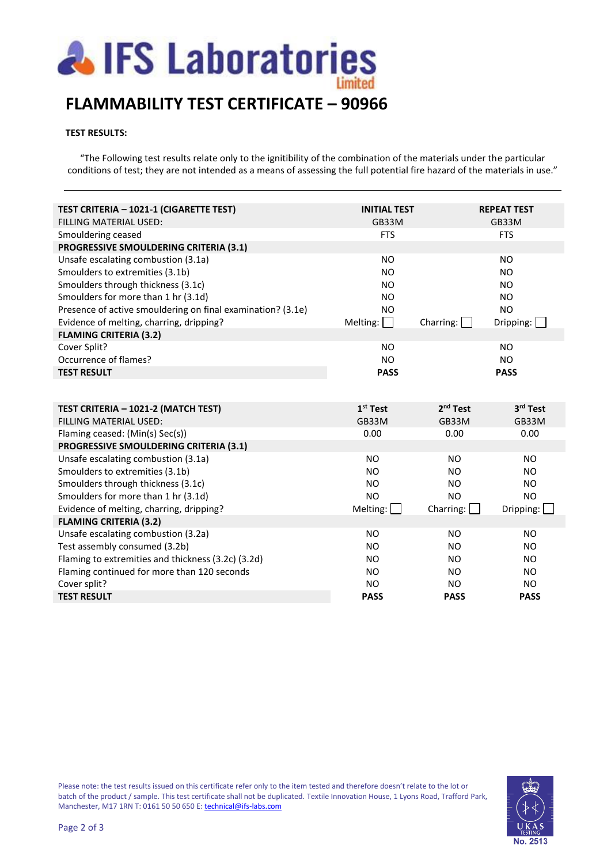

# **FLAMMABILITY TEST CERTIFICATE – 90966**

### **TEST RESULTS:**

"The Following test results relate only to the ignitibility of the combination of the materials under the particular conditions of test; they are not intended as a means of assessing the full potential fire hazard of the materials in use."

| TEST CRITERIA - 1021-1 (CIGARETTE TEST)<br><b>FILLING MATERIAL USED:</b> | <b>INITIAL TEST</b><br>GB33M   |                      | <b>REPEAT TEST</b><br>GB33M |
|--------------------------------------------------------------------------|--------------------------------|----------------------|-----------------------------|
| Smouldering ceased                                                       | <b>FTS</b>                     |                      | <b>FTS</b>                  |
| PROGRESSIVE SMOULDERING CRITERIA (3.1)                                   |                                |                      |                             |
| Unsafe escalating combustion (3.1a)                                      | <b>NO</b>                      |                      | <b>NO</b>                   |
| Smoulders to extremities (3.1b)                                          | <b>NO</b>                      |                      | <b>NO</b>                   |
| Smoulders through thickness (3.1c)                                       | <b>NO</b>                      |                      | <b>NO</b>                   |
| Smoulders for more than 1 hr (3.1d)                                      | <b>NO</b>                      |                      | NO.                         |
| Presence of active smouldering on final examination? (3.1e)              | <b>NO</b>                      |                      | <b>NO</b>                   |
| Evidence of melting, charring, dripping?                                 | Melting:<br>$\sim 10$          | Charring:            | Dripping: $\Box$            |
| <b>FLAMING CRITERIA (3.2)</b>                                            |                                |                      |                             |
| Cover Split?                                                             | <b>NO</b>                      |                      | <b>NO</b>                   |
| Occurrence of flames?                                                    | <b>NO</b>                      |                      | <b>NO</b>                   |
| <b>TEST RESULT</b>                                                       | <b>PASS</b>                    |                      | <b>PASS</b>                 |
|                                                                          |                                |                      |                             |
| TEST CRITERIA - 1021-2 (MATCH TEST)                                      | $1st$ Test                     | 2 <sup>nd</sup> Test | 3 <sup>rd</sup> Test        |
| FILLING MATERIAL USED:                                                   | GB33M                          | GB33M                | GB33M                       |
| Flaming ceased: (Min(s) Sec(s))                                          | 0.00                           | 0.00                 | 0.00                        |
| PROGRESSIVE SMOULDERING CRITERIA (3.1)                                   |                                |                      |                             |
| Unsafe escalating combustion (3.1a)                                      | <b>NO</b>                      | <b>NO</b>            | <b>NO</b>                   |
| Smoulders to extremities (3.1b)                                          | <b>NO</b>                      | <b>NO</b>            | NO.                         |
| Smoulders through thickness (3.1c)                                       | <b>NO</b>                      | <b>NO</b>            | <b>NO</b>                   |
| Smoulders for more than 1 hr (3.1d)                                      | <b>NO</b>                      | N <sub>O</sub>       | <b>NO</b>                   |
| Evidence of melting, charring, dripping?                                 | Melting: $\boxed{\phantom{a}}$ | Charring: $\Box$     | Dripping:                   |
| <b>FLAMING CRITERIA (3.2)</b>                                            |                                |                      |                             |
| Unsafe escalating combustion (3.2a)                                      | <b>NO</b>                      | <b>NO</b>            | <b>NO</b>                   |
| Test assembly consumed (3.2b)                                            | <b>NO</b>                      | <b>NO</b>            | <b>NO</b>                   |
| Flaming to extremities and thickness (3.2c) (3.2d)                       |                                | <b>NO</b>            | NO.                         |
|                                                                          | <b>NO</b>                      |                      |                             |
| Flaming continued for more than 120 seconds                              | <b>NO</b>                      | <b>NO</b>            | <b>NO</b>                   |
| Cover split?                                                             | <b>NO</b>                      | NO.                  | NO.                         |
| <b>TEST RESULT</b>                                                       | <b>PASS</b>                    | <b>PASS</b>          | <b>PASS</b>                 |

Please note: the test results issued on this certificate refer only to the item tested and therefore doesn't relate to the lot or batch of the product / sample. This test certificate shall not be duplicated. Textile Innovation House, 1 Lyons Road, Trafford Park, Manchester, M17 1RN T: 0161 50 50 650 E[: technical@ifs-labs.com](mailto:technical@ifs-labs.com)